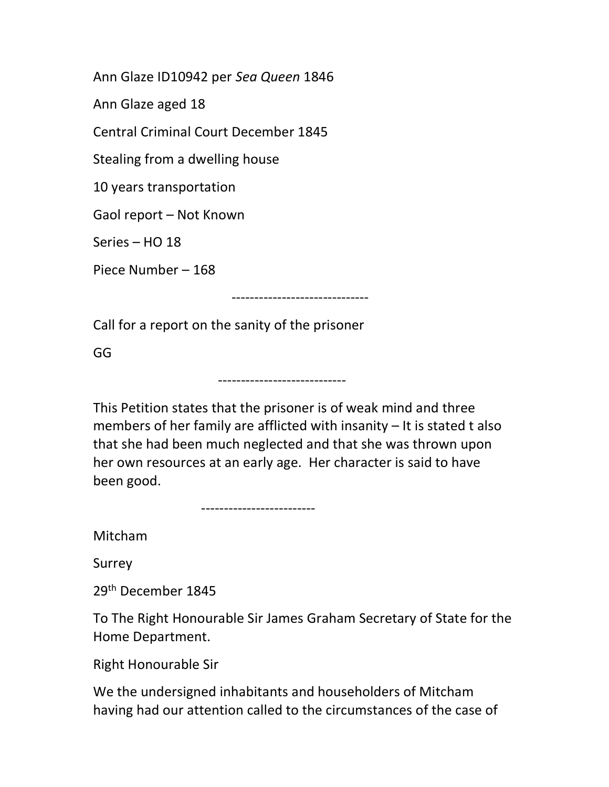Ann Glaze ID10942 per Sea Queen 1846

Ann Glaze aged 18

Central Criminal Court December 1845

Stealing from a dwelling house

10 years transportation

Gaol report – Not Known

Series – HO 18

Piece Number – 168

------------------------------

Call for a report on the sanity of the prisoner

GG

This Petition states that the prisoner is of weak mind and three members of her family are afflicted with insanity – It is stated t also that she had been much neglected and that she was thrown upon her own resources at an early age. Her character is said to have been good.

----------------------------

-------------------------

Mitcham

Surrey

29th December 1845

To The Right Honourable Sir James Graham Secretary of State for the Home Department.

Right Honourable Sir

We the undersigned inhabitants and householders of Mitcham having had our attention called to the circumstances of the case of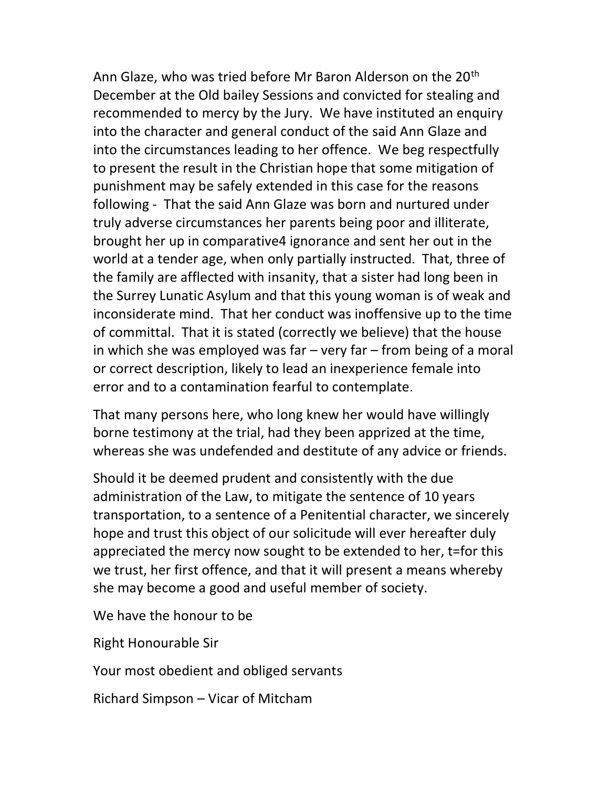Ann Glaze, who was tried before Mr Baron Alderson on the 20<sup>th</sup> December at the Old bailey Sessions and convicted for stealing and recommended to mercy by the Jury. We have instituted an enquiry into the character and general conduct of the said Ann Glaze and into the circumstances leading to her offence. We beg respectfully to present the result in the Christian hope that some mitigation of punishment may be safely extended in this case for the reasons following - That the said Ann Glaze was born and nurtured under truly adverse circumstances her parents being poor and illiterate, brought her up in comparative4 ignorance and sent her out in the world at a tender age, when only partially instructed. That, three of the family are afflected with insanity, that a sister had long been in the Surrey Lunatic Asylum and that this young woman is of weak and inconsiderate mind. That her conduct was inoffensive up to the time of committal. That it is stated (correctly we believe) that the house in which she was employed was far  $-$  very far  $-$  from being of a moral or correct description, likely to lead an inexperience female into error and to a contamination fearful to contemplate.

That many persons here, who long knew her would have willingly borne testimony at the trial, had they been apprized at the time, whereas she was undefended and destitute of any advice or friends.

Should it be deemed prudent and consistently with the due administration of the Law, to mitigate the sentence of 10 years transportation, to a sentence of a Penitential character, we sincerely hope and trust this object of our solicitude will ever hereafter duly appreciated the mercy now sought to be extended to her, t=for this we trust, her first offence, and that it will present a means whereby she may become a good and useful member of society.

We have the honour to be

Right Honourable Sir

Your most obedient and obliged servants

Richard Simpson – Vicar of Mitcham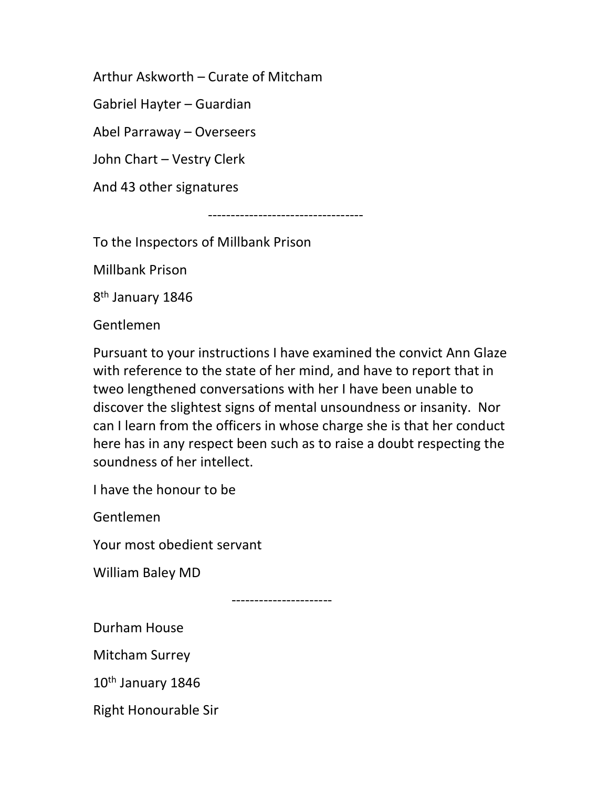Arthur Askworth – Curate of Mitcham

Gabriel Hayter – Guardian

Abel Parraway – Overseers

John Chart – Vestry Clerk

And 43 other signatures

----------------------------------

To the Inspectors of Millbank Prison

Millbank Prison

8<sup>th</sup> January 1846

Gentlemen

Pursuant to your instructions I have examined the convict Ann Glaze with reference to the state of her mind, and have to report that in tweo lengthened conversations with her I have been unable to discover the slightest signs of mental unsoundness or insanity. Nor can I learn from the officers in whose charge she is that her conduct here has in any respect been such as to raise a doubt respecting the soundness of her intellect.

I have the honour to be

Gentlemen

Your most obedient servant

William Baley MD

----------------------

Durham House

Mitcham Surrey

10<sup>th</sup> January 1846

Right Honourable Sir